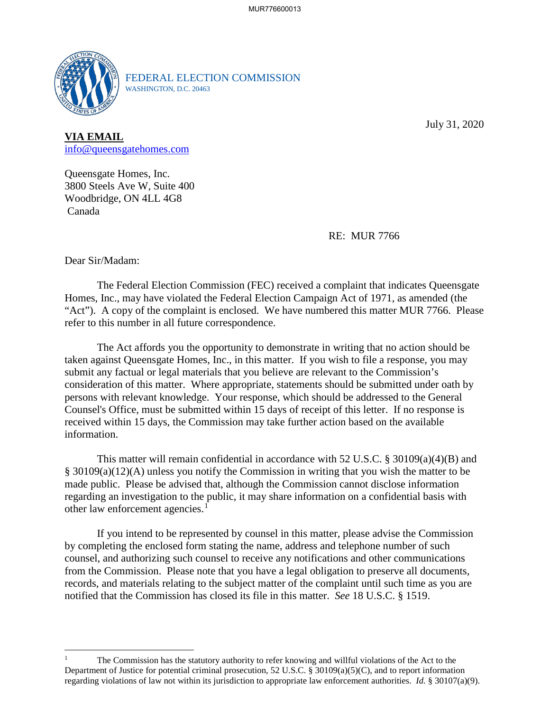

FEDERAL ELECTION COMMISSION WASHINGTON, D.C. 20463

July 31, 2020

**VIA EMAIL**  [info@queensgatehomes.com](mailto:info@queensgatehomes.com) 

 Canada Queensgate Homes, Inc. 3800 Steels Ave W, Suite 400 Woodbridge, ON 4LL 4G8

RE: MUR 7766

Dear Sir/Madam:

<u>.</u>

 "Act"). A copy of the complaint is enclosed. We have numbered this matter MUR 7766. Please The Federal Election Commission (FEC) received a complaint that indicates Queensgate Homes, Inc., may have violated the Federal Election Campaign Act of 1971, as amended (the refer to this number in all future correspondence.

 The Act affords you the opportunity to demonstrate in writing that no action should be taken against Queensgate Homes, Inc., in this matter. If you wish to file a response, you may submit any factual or legal materials that you believe are relevant to the Commission's consideration of this matter. Where appropriate, statements should be submitted under oath by persons with relevant knowledge. Your response, which should be addressed to the General Counsel's Office, must be submitted within 15 days of receipt of this letter. If no response is received within 15 days, the Commission may take further action based on the available information.

This matter will remain confidential in accordance with 52 U.S.C. § 30109(a)(4)(B) and § 30109(a)(12)(A) unless you notify the Commission in writing that you wish the matter to be made public. Please be advised that, although the Commission cannot disclose information regarding an investigation to the public, it may share information on a confidential basis with other law enforcement agencies.<sup>1</sup>

 If you intend to be represented by counsel in this matter, please advise the Commission from the Commission. Please note that you have a legal obligation to preserve all documents, records, and materials relating to the subject matter of the complaint until such time as you are notified that the Commission has closed its file in this matter. *See* 18 U.S.C. § 1519. by completing the enclosed form stating the name, address and telephone number of such counsel, and authorizing such counsel to receive any notifications and other communications

 regarding violations of law not within its jurisdiction to appropriate law enforcement authorities. *Id.* § 30107(a)(9). The Commission has the statutory authority to refer knowing and willful violations of the Act to the Department of Justice for potential criminal prosecution, 52 U.S.C. § 30109(a)(5)(C), and to report information 1